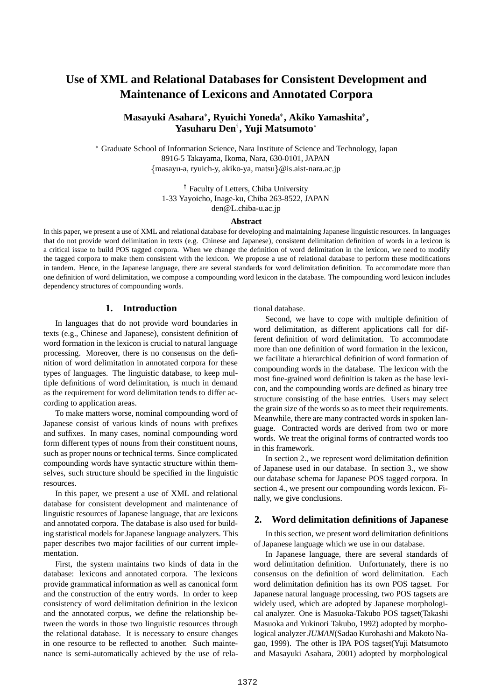# **Use of XML and Relational Databases for Consistent Development and Maintenance of Lexicons and Annotated Corpora**

# **Masayuki Asahara , Ryuichi Yoneda , Akiko Yamashita , Yasuharu Den**<sup>y</sup> **, Yuji Matsumoto**

 Graduate School of Information Science, Nara Institute of Science and Technology, Japan 8916-5 Takayama, Ikoma, Nara, 630-0101, JAPAN {masayu-a, ryuich-y, akiko-ya, matsu}@is.aist-nara.ac.jp

> <sup>†</sup> Faculty of Letters, Chiba University 1-33 Yayoicho, Inage-ku, Chiba 263-8522, JAPAN den@L.chiba-u.ac.jp

#### **Abstract**

In this paper, we present a use of XML and relational database for developing and maintaining Japanese linguistic resources. In languages that do not provide word delimitation in texts (e.g. Chinese and Japanese), consistent delimitation definition of words in a lexicon is a critical issue to build POS tagged corpora. When we change the definition of word delimitation in the lexicon, we need to modify the tagged corpora to make them consistent with the lexicon. We propose a use of relational database to perform these modifications in tandem. Hence, in the Japanese language, there are several standards for word delimitation definition. To accommodate more than one definition of word delimitation, we compose a compounding word lexicon in the database. The compounding word lexicon includes dependency structures of compounding words.

### **1. Introduction**

In languages that do not provide word boundaries in texts (e.g., Chinese and Japanese), consistent definition of word formation in the lexicon is crucial to natural language processing. Moreover, there is no consensus on the definition of word delimitation in annotated corpora for these types of languages. The linguistic database, to keep multiple definitions of word delimitation, is much in demand as the requirement for word delimitation tends to differ according to application areas.

To make matters worse, nominal compounding word of Japanese consist of various kinds of nouns with prefixes and suffixes. In many cases, nominal compounding word form different types of nouns from their constituent nouns, such as proper nouns or technical terms. Since complicated compounding words have syntactic structure within themselves, such structure should be specified in the linguistic resources.

In this paper, we present a use of XML and relational database for consistent development and maintenance of linguistic resources of Japanese language, that are lexicons and annotated corpora. The database is also used for building statistical models for Japanese language analyzers. This paper describes two major facilities of our current implementation.

First, the system maintains two kinds of data in the database: lexicons and annotated corpora. The lexicons provide grammatical information as well as canonical form and the construction of the entry words. In order to keep consistency of word delimitation definition in the lexicon and the annotated corpus, we define the relationship between the words in those two linguistic resources through the relational database. It is necessary to ensure changes in one resource to be reflected to another. Such maintenance is semi-automatically achieved by the use of relational database.

Second, we have to cope with multiple definition of word delimitation, as different applications call for different definition of word delimitation. To accommodate more than one definition of word formation in the lexicon, we facilitate a hierarchical definition of word formation of compounding words in the database. The lexicon with the most fine-grained word definition is taken as the base lexicon, and the compounding words are defined as binary tree structure consisting of the base entries. Users may select the grain size of the words so as to meet their requirements. Meanwhile, there are many contracted words in spoken language. Contracted words are derived from two or more words. We treat the original forms of contracted words too in this framework.

In section 2., we represent word delimitation definition of Japanese used in our database. In section 3., we show our database schema for Japanese POS tagged corpora. In section 4., we present our compounding words lexicon. Finally, we give conclusions.

# **2. Word delimitation definitions of Japanese**

In this section, we present word delimitation definitions of Japanese language which we use in our database.

In Japanese language, there are several standards of word delimitation definition. Unfortunately, there is no consensus on the definition of word delimitation. Each word delimitation definition has its own POS tagset. For Japanese natural language processing, two POS tagsets are widely used, which are adopted by Japanese morphological analyzer. One is Masuoka-Takubo POS tagset(Takashi Masuoka and Yukinori Takubo, 1992) adopted by morphological analyzer *JUMAN*(Sadao Kurohashi and Makoto Nagao, 1999). The other is IPA POS tagset(Yuji Matsumoto and Masayuki Asahara, 2001) adopted by morphological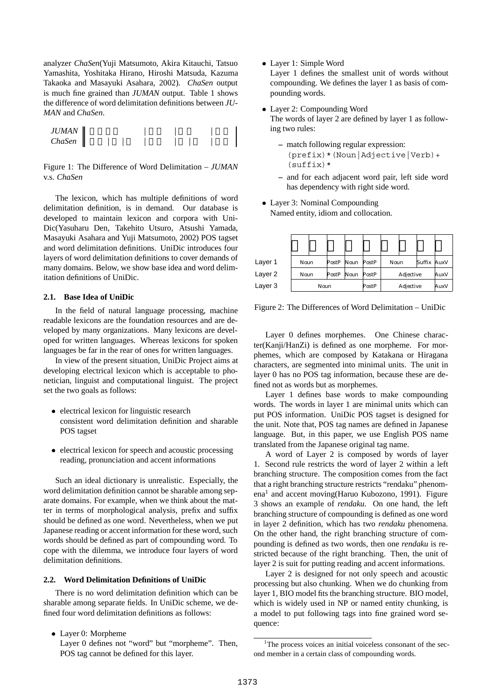analyzer *ChaSen*(Yuji Matsumoto, Akira Kitauchi, Tatsuo Yamashita, Yoshitaka Hirano, Hiroshi Matsuda, Kazuma Takaoka and Masayuki Asahara, 2002). *ChaSen* output is much fine grained than *JUMAN* output. Table 1 shows the difference of word delimitation definitions between *JU-MAN* and *ChaSen*.



Figure 1: The Difference of Word Delimitation – *JUMAN* v.s. *ChaSen*

The lexicon, which has multiple definitions of word delimitation definition, is in demand. Our database is developed to maintain lexicon and corpora with Uni-Dic(Yasuharu Den, Takehito Utsuro, Atsushi Yamada, Masayuki Asahara and Yuji Matsumoto, 2002) POS tagset and word delimitation definitions. UniDic introduces four layers of word delimitation definitions to cover demands of many domains. Below, we show base idea and word delimitation definitions of UniDic.

### **2.1. Base Idea of UniDic**

In the field of natural language processing, machine readable lexicons are the foundation resources and are developed by many organizations. Many lexicons are developed for written languages. Whereas lexicons for spoken languages be far in the rear of ones for written languages.

In view of the present situation, UniDic Project aims at developing electrical lexicon which is acceptable to phonetician, linguist and computational linguist. The project set the two goals as follows:

- electrical lexicon for linguistic research consistent word delimitation definition and sharable POS tagset
- electrical lexicon for speech and acoustic processing reading, pronunciation and accent informations

Such an ideal dictionary is unrealistic. Especially, the word delimitation definition cannot be sharable among separate domains. For example, when we think about the matter in terms of morphological analysis, prefix and suffix should be defined as one word. Nevertheless, when we put Japanese reading or accent information for these word, such words should be defined as part of compounding word. To cope with the dilemma, we introduce four layers of word delimitation definitions.

#### **2.2. Word Delimitation Definitions of UniDic**

There is no word delimitation definition which can be sharable among separate fields. In UniDic scheme, we defined four word delimitation definitions as follows:

- Layer 0: Morpheme
	- Layer 0 defines not "word" but "morpheme". Then, POS tag cannot be defined for this layer.

Layer 1: Simple Word

Layer 1 defines the smallest unit of words without compounding. We defines the layer 1 as basis of compounding words.

- Layer 2: Compounding Word The words of layer 2 are defined by layer 1 as following two rules:
	- **–** match following regular expression: (prefix)\*(Noun|Adjective|Verb)+  $(suffix)*$
	- **–** and for each adjacent word pair, left side word has dependency with right side word.
- Layer 3: Nominal Compounding Named entity, idiom and collocation.

| Layer 1 | Noun |  | PostP | Noun | PostP | Noun      |  | Suffix | AuxV |
|---------|------|--|-------|------|-------|-----------|--|--------|------|
| Layer 2 | Noun |  | PostP | Noun | PostP | Adjective |  | AuxV   |      |
| Layer 3 | Noun |  |       |      | PostP | Adjective |  | AuxV   |      |

Figure 2: The Differences of Word Delimitation – UniDic

Layer 0 defines morphemes. One Chinese character(Kanji/HanZi) is defined as one morpheme. For morphemes, which are composed by Katakana or Hiragana characters, are segmented into minimal units. The unit in layer 0 has no POS tag information, because these are defined not as words but as morphemes.

Layer 1 defines base words to make compounding words. The words in layer 1 are minimal units which can put POS information. UniDic POS tagset is designed for the unit. Note that, POS tag names are defined in Japanese language. But, in this paper, we use English POS name translated from the Japanese original tag name.

A word of Layer 2 is composed by words of layer 1. Second rule restricts the word of layer 2 within a left branching structure. The composition comes from the fact that a right branching structure restricts "rendaku" phenomena<sup>1</sup> and accent moving(Haruo Kubozono, 1991). Figure 3 shows an example of *rendaku*. On one hand, the left branching structure of compounding is defined as one word in layer 2 definition, which has two *rendaku* phenomena. On the other hand, the right branching structure of compounding is defined as two words, then one *rendaku* is restricted because of the right branching. Then, the unit of layer 2 is suit for putting reading and accent informations.

Layer 2 is designed for not only speech and acoustic processing but also chunking. When we do chunking from layer 1, BIO model fits the branching structure. BIO model, which is widely used in NP or named entity chunking, is a model to put following tags into fine grained word sequence:

<sup>&</sup>lt;sup>1</sup>The process voices an initial voiceless consonant of the second member in a certain class of compounding words.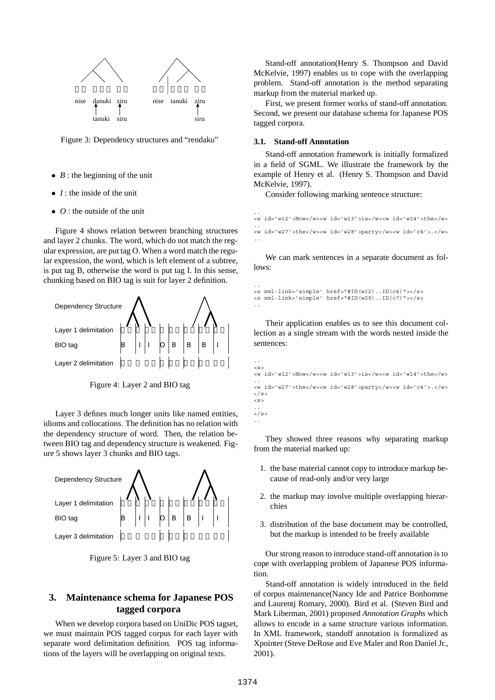

Figure 3: Dependency structures and "rendaku"

- *B* : the beginning of the unit
- *I* : the inside of the unit
- *O* : the outside of the unit

Figure 4 shows relation between branching structures and layer 2 chunks. The word, which do not match the regular expression, are put tag O. When a word match the regular expression, the word, which is left element of a subtree, is put tag B, otherwise the word is put tag I. In this sense, chunking based on BIO tag is suit for layer 2 definition.



Figure 4: Layer 2 and BIO tag

Layer 3 defines much longer units like named entities, idioms and collocations. The definition has no relation with the dependency structure of word. Then, the relation between BIO tag and dependency structure is weakened. Figure 5 shows layer 3 chunks and BIO tags.



Figure 5: Layer 3 and BIO tag

# **3. Maintenance schema for Japanese POS tagged corpora**

When we develop corpora based on UniDic POS tagset, we must maintain POS tagged corpus for each layer with separate word delimitation definition. POS tag informations of the layers will be overlapping on original texts.

Stand-off annotation(Henry S. Thompson and David McKelvie, 1997) enables us to cope with the overlapping problem. Stand-off annotation is the method separating markup from the material marked up.

First, we present former works of stand-off annotation. Second, we present our database schema for Japanese POS tagged corpora.

#### **3.1. Stand-off Annotation**

Stand-off annotation framework is initially formalized in a field of SGML. We illustrate the framework by the example of Henry et al. (Henry S. Thompson and David McKelvie, 1997).

Consider following marking sentence structure:

```
..
<w id='w12'>Now</w><w id='w13'>is</w><w id='w14'>the</w>
..
<w id='w27'>the</w><w id='w28'>party</w><w id='c4'>.</w>
..
```
We can mark sentences in a separate document as follows:

```
..
<s xml-link='simple' href="#ID(w12)..ID(c4)"></s>
<s xml-link='simple' href="#ID(w29)..ID(c7)"></s>
..
```
Their application enables us to see this document collection as a single stream with the words nested inside the sentences:

```
..
\leqS><w id='w12'>Now</w><w id='w13'>is</w><w id='w14'>the</w>
..
<w id='w27'>the</w><w id='w28'>party</w><w id='c4'>.</w>
\langle/s>
<s>
..
\langle s>
..
```
They showed three reasons why separating markup from the material marked up:

- 1. the base material cannot copy to introduce markup because of read-only and/or very large
- 2. the markup may involve multiple overlapping hierarchies
- 3. distribution of the base document may be controlled, but the markup is intended to be freely available

Our strong reason to introduce stand-off annotation is to cope with overlapping problem of Japanese POS information.

Stand-off annotation is widely introduced in the field of corpus maintenance(Nancy Ide and Patrice Bonhomme and Laurentj Romary, 2000). Bird et al. (Steven Bird and Mark Liberman, 2001) proposed *Annotation Graphs* which allows to encode in a same structure various information. In XML framework, standoff annotation is formalized as Xpointer (Steve DeRose and Eve Maler and Ron Daniel Jr., 2001).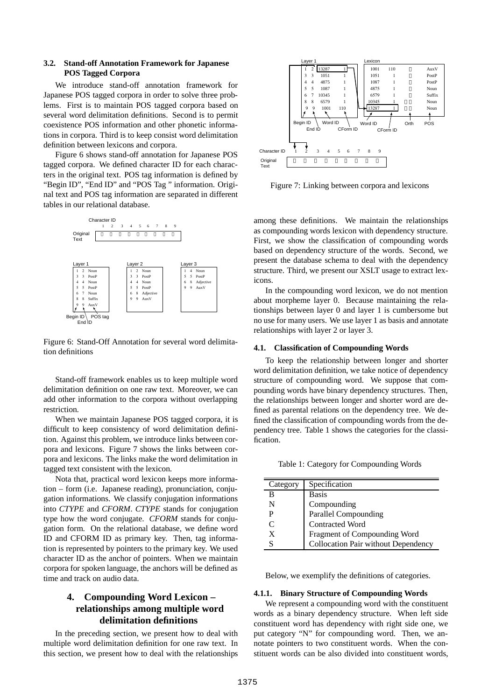### **3.2. Stand-off Annotation Framework for Japanese POS Tagged Corpora**

We introduce stand-off annotation framework for Japanese POS tagged corpora in order to solve three problems. First is to maintain POS tagged corpora based on several word delimitation definitions. Second is to permit coexistence POS information and other phonetic informations in corpora. Third is to keep consist word delimitation definition between lexicons and corpora.

Figure 6 shows stand-off annotation for Japanese POS tagged corpora. We defined character ID for each characters in the original text. POS tag information is defined by "Begin ID", "End ID" and "POS Tag " information. Original text and POS tag information are separated in different tables in our relational database.



Figure 6: Stand-Off Annotation for several word delimitation definitions

Stand-off framework enables us to keep multiple word delimitation definition on one raw text. Moreover, we can add other information to the corpora without overlapping restriction.

When we maintain Japanese POS tagged corpora, it is difficult to keep consistency of word delimitation definition. Against this problem, we introduce links between corpora and lexicons. Figure 7 shows the links between corpora and lexicons. The links make the word delimitation in tagged text consistent with the lexicon.

Nota that, practical word lexicon keeps more information – form (i.e. Japanese reading), pronunciation, conjugation informations. We classify conjugation informations into *CTYPE* and *CFORM*. *CTYPE* stands for conjugation type how the word conjugate. *CFORM* stands for conjugation form. On the relational database, we define word ID and CFORM ID as primary key. Then, tag information is represented by pointers to the primary key. We used character ID as the anchor of pointers. When we maintain corpora for spoken language, the anchors will be defined as time and track on audio data.

# **4. Compounding Word Lexicon – relationships among multiple word delimitation definitions**

In the preceding section, we present how to deal with multiple word delimitation definition for one raw text. In this section, we present how to deal with the relationships



Figure 7: Linking between corpora and lexicons

among these definitions. We maintain the relationships as compounding words lexicon with dependency structure. First, we show the classification of compounding words based on dependency structure of the words. Second, we present the database schema to deal with the dependency structure. Third, we present our XSLT usage to extract lexicons.

In the compounding word lexicon, we do not mention about morpheme layer 0. Because maintaining the relationships between layer 0 and layer 1 is cumbersome but no use for many users. We use layer 1 as basis and annotate relationships with layer 2 or layer 3.

#### **4.1. Classification of Compounding Words**

To keep the relationship between longer and shorter word delimitation definition, we take notice of dependency structure of compounding word. We suppose that compounding words have binary dependency structures. Then, the relationships between longer and shorter word are defined as parental relations on the dependency tree. We defined the classification of compounding words from the dependency tree. Table 1 shows the categories for the classification.

Table 1: Category for Compounding Words

| Category                    | Specification                       |
|-----------------------------|-------------------------------------|
| в                           | <b>Basis</b>                        |
| N                           | Compounding                         |
| P                           | Parallel Compounding                |
| $\mathcal{C}_{\mathcal{C}}$ | <b>Contracted Word</b>              |
| X                           | Fragment of Compounding Word        |
| S                           | Collocation Pair without Dependency |

Below, we exemplify the definitions of categories.

#### **4.1.1. Binary Structure of Compounding Words**

We represent a compounding word with the constituent words as a binary dependency structure. When left side constituent word has dependency with right side one, we put category "N" for compounding word. Then, we annotate pointers to two constituent words. When the constituent words can be also divided into constituent words,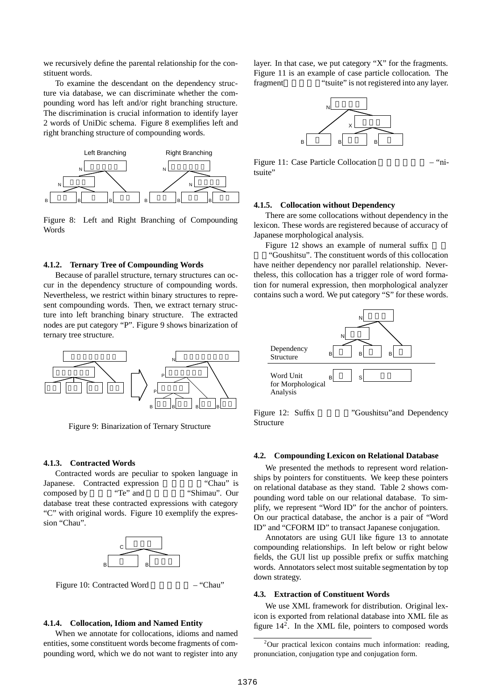we recursively define the parental relationship for the constituent words.

To examine the descendant on the dependency structure via database, we can discriminate whether the compounding word has left and/or right branching structure. The discrimination is crucial information to identify layer 2 words of UniDic schema. Figure 8 exemplifies left and right branching structure of compounding words.



Figure 8: Left and Right Branching of Compounding Words

#### **4.1.2. Ternary Tree of Compounding Words**

Because of parallel structure, ternary structures can occur in the dependency structure of compounding words. Nevertheless, we restrict within binary structures to represent compounding words. Then, we extract ternary structure into left branching binary structure. The extracted nodes are put category "P". Figure 9 shows binarization of ternary tree structure.



Figure 9: Binarization of Ternary Structure

#### **4.1.3. Contracted Words**

Contracted words are peculiar to spoken language in Japanese. Contracted expression "Chau" is composed by "Te" and "Shimau". Our database treat these contracted expressions with category "C" with original words. Figure 10 exemplify the expression "Chau".





#### **4.1.4. Collocation, Idiom and Named Entity**

When we annotate for collocations, idioms and named entities, some constituent words become fragments of compounding word, which we do not want to register into any

layer. In that case, we put category "X" for the fragments. Figure 11 is an example of case particle collocation. The fragment "tsuite" is not registered into any layer.



Figure 11: Case Particle Collocation — "nitsuite"

#### **4.1.5. Collocation without Dependency**

There are some collocations without dependency in the lexicon. These words are registered because of accuracy of Japanese morphological analysis.

Figure 12 shows an example of numeral suffix

室」"Goushitsu". The constituent words of this collocation have neither dependency nor parallel relationship. Nevertheless, this collocation has a trigger role of word formation for numeral expression, then morphological analyzer contains such a word. We put category "S" for these words.



Structure

Figure 12: Suffix "Goushitsu" and Dependency

#### **4.2. Compounding Lexicon on Relational Database**

We presented the methods to represent word relationships by pointers for constituents. We keep these pointers on relational database as they stand. Table 2 shows compounding word table on our relational database. To simplify, we represent "Word ID" for the anchor of pointers. On our practical database, the anchor is a pair of "Word ID" and "CFORM ID" to transact Japanese conjugation.

Annotators are using GUI like figure 13 to annotate compounding relationships. In left below or right below fields, the GUI list up possible prefix or suffix matching words. Annotators select most suitable segmentation by top down strategy.

#### **4.3. Extraction of Constituent Words**

We use XML framework for distribution. Original lexicon is exported from relational database into XML file as figure  $14<sup>2</sup>$ . In the XML file, pointers to composed words

<sup>&</sup>lt;sup>2</sup>Our practical lexicon contains much information: reading, pronunciation, conjugation type and conjugation form.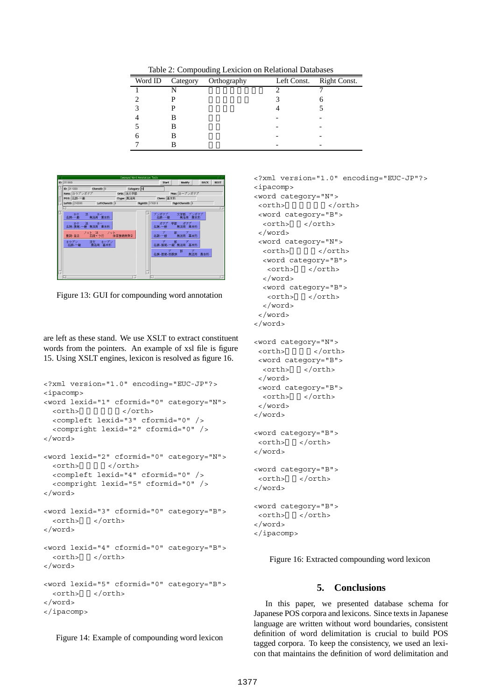Table 2: Compouding Lexicion on Relational Databases

| Word ID Category | Orthography | Left Const. | Right Const. |
|------------------|-------------|-------------|--------------|
|                  |             |             |              |
|                  |             |             |              |
|                  |             |             |              |
|                  |             |             |              |
|                  |             |             |              |
|                  |             |             |              |
|                  |             |             |              |



Figure 13: GUI for compounding word annotation

are left as these stand. We use XSLT to extract constituent words from the pointers. An example of xsl file is figure 15. Using XSLT engines, lexicon is resolved as figure 16.

```
<?xml version="1.0" encoding="EUC-JP"?>
<ipacomp>
<word lexid="1" cformid="0" category="N">
  <orth> </orth>
  <compleft lexid="3" cformid="0" />
  <compright lexid="2" cformid="0" />
</word>
<word lexid="2" cformid="0" category="N">
  <orth> </orth>
  <compleft lexid="4" cformid="0" />
  <compright lexid="5" cformid="0" />
</word>
<word lexid="3" cformid="0" category="B">
  <orth> </orth>
</word>
<word lexid="4" cformid="0" category="B">
  <orth> </orth>
</word>
<word lexid="5" cformid="0" category="B">
  <orth> </orth>
</word>
</ipacomp>
```
Figure 14: Example of compounding word lexicon

```
<?xml version="1.0" encoding="EUC-JP"?>
<ipacomp>
<word category="N">
<orth> </orth>
<word category="B">
 <orth> </orth>
</word>
<word category="N">
 <orth> </orth>
  <word category="B">
  <orth> </orth>
  </word>
 <word category="B">
  <orth> </orth>
 </word>
</word>
</word>
<word category="N">
<orth> </orth>
<word category="B">
 <orth> </orth>
```

```
</word>
<word category="B">
 <orth> </orth>
</word>
</word>
```

```
<word category="B">
<orth>短期</orth>
</word>
<word category="B">
<orth> </orth>
</word>
```

```
<word category="B">
<orth> </orth>
</word>
</ipacomp>
```
Figure 16: Extracted compounding word lexicon

# **5. Conclusions**

In this paper, we presented database schema for Japanese POS corpora and lexicons. Since texts in Japanese language are written without word boundaries, consistent definition of word delimitation is crucial to build POS tagged corpora. To keep the consistency, we used an lexicon that maintains the definition of word delimitation and